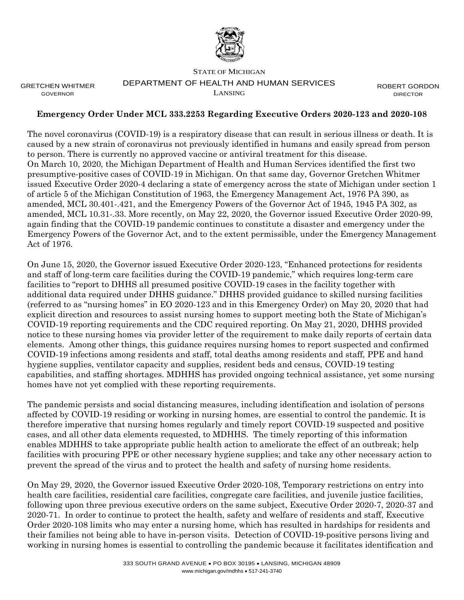

GRETCHEN WHITMER GOVERNOR

## STATE OF MICHIGAN DEPARTMENT OF HEALTH AND HUMAN SERVICES LANSING

ROBERT GORDON DIRECTOR

## **Emergency Order Under MCL 333.2253 Regarding Executive Orders 2020-123 and 2020-108**

The novel coronavirus (COVID-19) is a respiratory disease that can result in serious illness or death. It is caused by a new strain of coronavirus not previously identified in humans and easily spread from person to person. There is currently no approved vaccine or antiviral treatment for this disease. On March 10, 2020, the Michigan Department of Health and Human Services identified the first two presumptive-positive cases of COVID-19 in Michigan. On that same day, Governor Gretchen Whitmer issued Executive Order 2020-4 declaring a state of emergency across the state of Michigan under section 1 of article 5 of the Michigan Constitution of 1963, the Emergency Management Act, 1976 PA 390, as amended, MCL 30.401-.421, and the Emergency Powers of the Governor Act of 1945, 1945 PA 302, as amended, MCL 10.31-.33. More recently, on May 22, 2020, the Governor issued Executive Order 2020-99, again finding that the COVID-19 pandemic continues to constitute a disaster and emergency under the Emergency Powers of the Governor Act, and to the extent permissible, under the Emergency Management Act of 1976.

On June 15, 2020, the Governor issued Executive Order 2020-123, "Enhanced protections for residents and staff of long-term care facilities during the COVID-19 pandemic," which requires long-term care facilities to "report to DHHS all presumed positive COVID-19 cases in the facility together with additional data required under DHHS guidance." DHHS provided guidance to skilled nursing facilities (referred to as "nursing homes" in EO 2020-123 and in this Emergency Order) on May 20, 2020 that had explicit direction and resources to assist nursing homes to support meeting both the State of Michigan's COVID-19 reporting requirements and the CDC required reporting. On May 21, 2020, DHHS provided notice to these nursing homes via provider letter of the requirement to make daily reports of certain data elements. Among other things, this guidance requires nursing homes to report suspected and confirmed COVID-19 infections among residents and staff, total deaths among residents and staff, PPE and hand hygiene supplies, ventilator capacity and supplies, resident beds and census, COVID-19 testing capabilities, and staffing shortages. MDHHS has provided ongoing technical assistance, yet some nursing homes have not yet complied with these reporting requirements.

The pandemic persists and social distancing measures, including identification and isolation of persons affected by COVID-19 residing or working in nursing homes, are essential to control the pandemic. It is therefore imperative that nursing homes regularly and timely report COVID-19 suspected and positive cases, and all other data elements requested, to MDHHS. The timely reporting of this information enables MDHHS to take appropriate public health action to ameliorate the effect of an outbreak; help facilities with procuring PPE or other necessary hygiene supplies; and take any other necessary action to prevent the spread of the virus and to protect the health and safety of nursing home residents.

On May 29, 2020, the Governor issued Executive Order 2020-108, Temporary restrictions on entry into health care facilities, residential care facilities, congregate care facilities, and juvenile justice facilities, following upon three previous executive orders on the same subject, Executive Order 2020-7, 2020-37 and 2020-71. In order to continue to protect the health, safety and welfare of residents and staff, Executive Order 2020-108 limits who may enter a nursing home, which has resulted in hardships for residents and their families not being able to have in-person visits. Detection of COVID-19-positive persons living and working in nursing homes is essential to controlling the pandemic because it facilitates identification and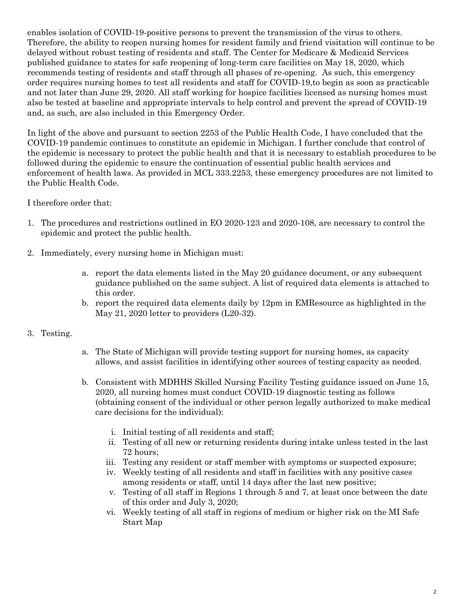enables isolation of COVID-19-positive persons to prevent the transmission of the virus to others. Therefore, the ability to reopen nursing homes for resident family and friend visitation will continue to be delayed without robust testing of residents and staff. The Center for Medicare & Medicaid Services published guidance to states for safe reopening of long-term care facilities on May 18, 2020, which recommends testing of residents and staff through all phases of re-opening. As such, this emergency order requires nursing homes to test all residents and staff for COVID-19,to begin as soon as practicable and not later than June 29, 2020. All staff working for hospice facilities licensed as nursing homes must also be tested at baseline and appropriate intervals to help control and prevent the spread of COVID-19 and, as such, are also included in this Emergency Order.

In light of the above and pursuant to section 2253 of the Public Health Code, I have concluded that the COVID-19 pandemic continues to constitute an epidemic in Michigan. I further conclude that control of the epidemic is necessary to protect the public health and that it is necessary to establish procedures to be followed during the epidemic to ensure the continuation of essential public health services and enforcement of health laws. As provided in MCL 333.2253, these emergency procedures are not limited to the Public Health Code.

I therefore order that:

- 1. The procedures and restrictions outlined in EO 2020-123 and 2020-108, are necessary to control the epidemic and protect the public health.
- 2. Immediately, every nursing home in Michigan must:
	- a. report the data elements listed in the May 20 guidance document, or any subsequent guidance published on the same subject. A list of required data elements is attached to this order.
	- b. report the required data elements daily by 12pm in EMResource as highlighted in the May 21, 2020 letter to providers (L20-32).
- 3. Testing.
- a. The State of Michigan will provide testing support for nursing homes, as capacity allows, and assist facilities in identifying other sources of testing capacity as needed.
- b. Consistent with MDHHS Skilled Nursing Facility Testing guidance issued on June 15, 2020, all nursing homes must conduct COVID-19 diagnostic testing as follows (obtaining consent of the individual or other person legally authorized to make medical care decisions for the individual):
	- i. Initial testing of all residents and staff;
	- ii. Testing of all new or returning residents during intake unless tested in the last 72 hours;
	- iii. Testing any resident or staff member with symptoms or suspected exposure;
	- iv. Weekly testing of all residents and staff in facilities with any positive cases among residents or staff, until 14 days after the last new positive;
	- v. Testing of all staff in Regions 1 through 5 and 7, at least once between the date of this order and July 3, 2020;
	- vi. Weekly testing of all staff in regions of medium or higher risk on the MI Safe Start Map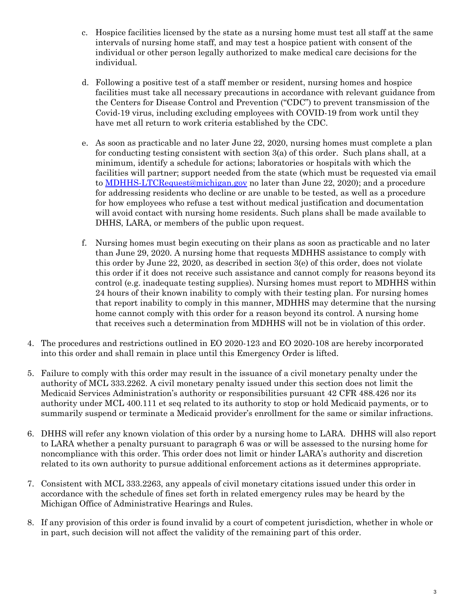- c. Hospice facilities licensed by the state as a nursing home must test all staff at the same intervals of nursing home staff, and may test a hospice patient with consent of the individual or other person legally authorized to make medical care decisions for the individual.
- d. Following a positive test of a staff member or resident, nursing homes and hospice facilities must take all necessary precautions in accordance with relevant guidance from the Centers for Disease Control and Prevention ("CDC") to prevent transmission of the Covid-19 virus, including excluding employees with COVID-19 from work until they have met all return to work criteria established by the CDC.
- e. As soon as practicable and no later June 22, 2020, nursing homes must complete a plan for conducting testing consistent with section 3(a) of this order. Such plans shall, at a minimum, identify a schedule for actions; laboratories or hospitals with which the facilities will partner; support needed from the state (which must be requested via email to **MDHHS-LTCRequest@michigan.gov** no later than June 22, 2020); and a procedure for addressing residents who decline or are unable to be tested, as well as a procedure for how employees who refuse a test without medical justification and documentation will avoid contact with nursing home residents. Such plans shall be made available to DHHS, LARA, or members of the public upon request.
- f. Nursing homes must begin executing on their plans as soon as practicable and no later than June 29, 2020. A nursing home that requests MDHHS assistance to comply with this order by June 22, 2020, as described in section 3(e) of this order, does not violate this order if it does not receive such assistance and cannot comply for reasons beyond its control (e.g. inadequate testing supplies). Nursing homes must report to MDHHS within 24 hours of their known inability to comply with their testing plan. For nursing homes that report inability to comply in this manner, MDHHS may determine that the nursing home cannot comply with this order for a reason beyond its control. A nursing home that receives such a determination from MDHHS will not be in violation of this order.
- 4. The procedures and restrictions outlined in EO 2020-123 and EO 2020-108 are hereby incorporated into this order and shall remain in place until this Emergency Order is lifted.
- 5. Failure to comply with this order may result in the issuance of a civil monetary penalty under the authority of MCL 333.2262. A civil monetary penalty issued under this section does not limit the Medicaid Services Administration's authority or responsibilities pursuant 42 CFR 488.426 nor its authority under MCL 400.111 et seq related to its authority to stop or hold Medicaid payments, or to summarily suspend or terminate a Medicaid provider's enrollment for the same or similar infractions.
- 6. DHHS will refer any known violation of this order by a nursing home to LARA. DHHS will also report to LARA whether a penalty pursuant to paragraph 6 was or will be assessed to the nursing home for noncompliance with this order. This order does not limit or hinder LARA's authority and discretion related to its own authority to pursue additional enforcement actions as it determines appropriate.
- 7. Consistent with MCL 333.2263, any appeals of civil monetary citations issued under this order in accordance with the schedule of fines set forth in related emergency rules may be heard by the Michigan Office of Administrative Hearings and Rules.
- 8. If any provision of this order is found invalid by a court of competent jurisdiction, whether in whole or in part, such decision will not affect the validity of the remaining part of this order.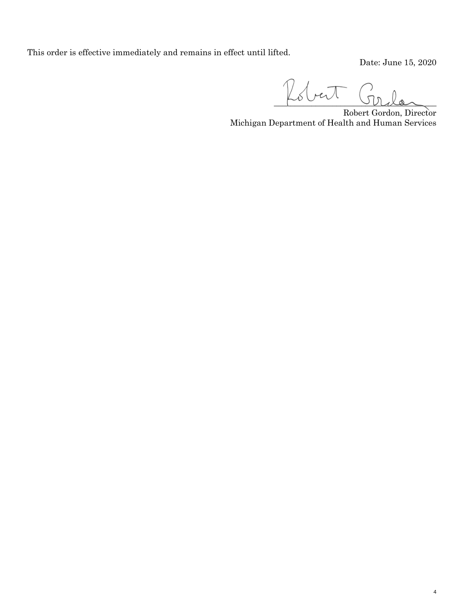This order is effective immediately and remains in effect until lifted.

Date: June 15, 2020

4

 $\mathbb{Z}$ bert

Robert Gordon, Director Michigan Department of Health and Human Services